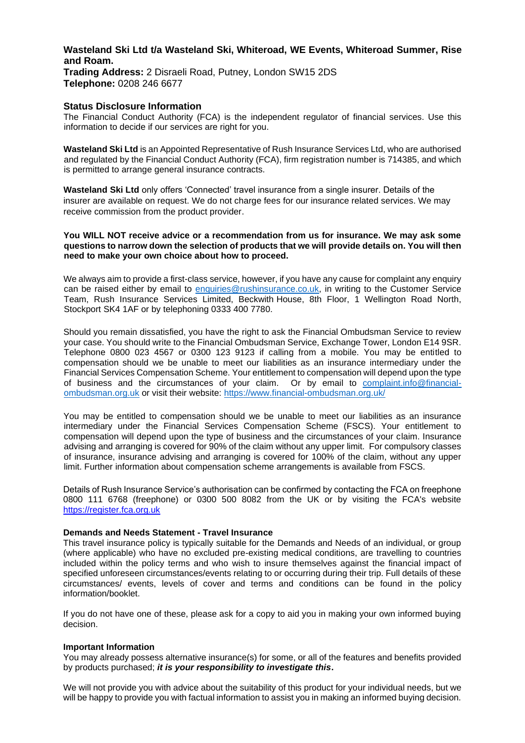# **Wasteland Ski Ltd t/a Wasteland Ski, Whiteroad, WE Events, Whiteroad Summer, Rise and Roam. Trading Address:** 2 Disraeli Road, Putney, London SW15 2DS **Telephone:** 0208 246 6677

## **Status Disclosure Information**

The Financial Conduct Authority (FCA) is the independent regulator of financial services. Use this information to decide if our services are right for you.

**Wasteland Ski Ltd** is an Appointed Representative of Rush Insurance Services Ltd, who are authorised and regulated by the Financial Conduct Authority (FCA), firm registration number is 714385, and which is permitted to arrange general insurance contracts.

**Wasteland Ski Ltd** only offers 'Connected' travel insurance from a single insurer. Details of the insurer are available on request. We do not charge fees for our insurance related services. We may receive commission from the product provider.

#### **You WILL NOT receive advice or a recommendation from us for insurance. We may ask some questions to narrow down the selection of products that we will provide details on. You will then need to make your own choice about how to proceed.**

We always aim to provide a first-class service, however, if you have any cause for complaint any enquiry can be raised either by email to [enquiries@rushinsurance.co.uk,](mailto:enquiries@rushinsurance.co.ukuk) in writing to the Customer Service Team, Rush Insurance Services Limited, Beckwith House, 8th Floor, 1 Wellington Road North, Stockport SK4 1AF or by telephoning 0333 400 7780.

Should you remain dissatisfied, you have the right to ask the Financial Ombudsman Service to review your case. You should write to the Financial Ombudsman Service, Exchange Tower, London E14 9SR. Telephone 0800 023 4567 or 0300 123 9123 if calling from a mobile. You may be entitled to compensation should we be unable to meet our liabilities as an insurance intermediary under the Financial Services Compensation Scheme. Your entitlement to compensation will depend upon the type of business and the circumstances of your claim. Or by email to [complaint.info@financial](mailto:complaint.info@financial-ombudsman.org.uk)[ombudsman.org.uk](mailto:complaint.info@financial-ombudsman.org.uk) or visit their website: [https://www.financial-ombudsman.org.uk/](https://www.financial-ombudsman.org.uk/%20/)

You may be entitled to compensation should we be unable to meet our liabilities as an insurance intermediary under the Financial Services Compensation Scheme (FSCS). Your entitlement to compensation will depend upon the type of business and the circumstances of your claim. Insurance advising and arranging is covered for 90% of the claim without any upper limit. For compulsory classes of insurance, insurance advising and arranging is covered for 100% of the claim, without any upper limit. Further information about compensation scheme arrangements is available from FSCS.

Details of Rush Insurance Service's authorisation can be confirmed by contacting the FCA on freephone 0800 111 6768 (freephone) or 0300 500 8082 from the UK or by visiting the FCA's website https://register.fca.org.uk

## **Demands and Needs Statement - Travel Insurance**

This travel insurance policy is typically suitable for the Demands and Needs of an individual, or group (where applicable) who have no excluded pre-existing medical conditions, are travelling to countries included within the policy terms and who wish to insure themselves against the financial impact of specified unforeseen circumstances/events relating to or occurring during their trip. Full details of these circumstances/ events, levels of cover and terms and conditions can be found in the policy information/booklet.

If you do not have one of these, please ask for a copy to aid you in making your own informed buying decision.

## **Important Information**

You may already possess alternative insurance(s) for some, or all of the features and benefits provided by products purchased; *it is your responsibility to investigate this***.**

We will not provide you with advice about the suitability of this product for your individual needs, but we will be happy to provide you with factual information to assist you in making an informed buying decision.